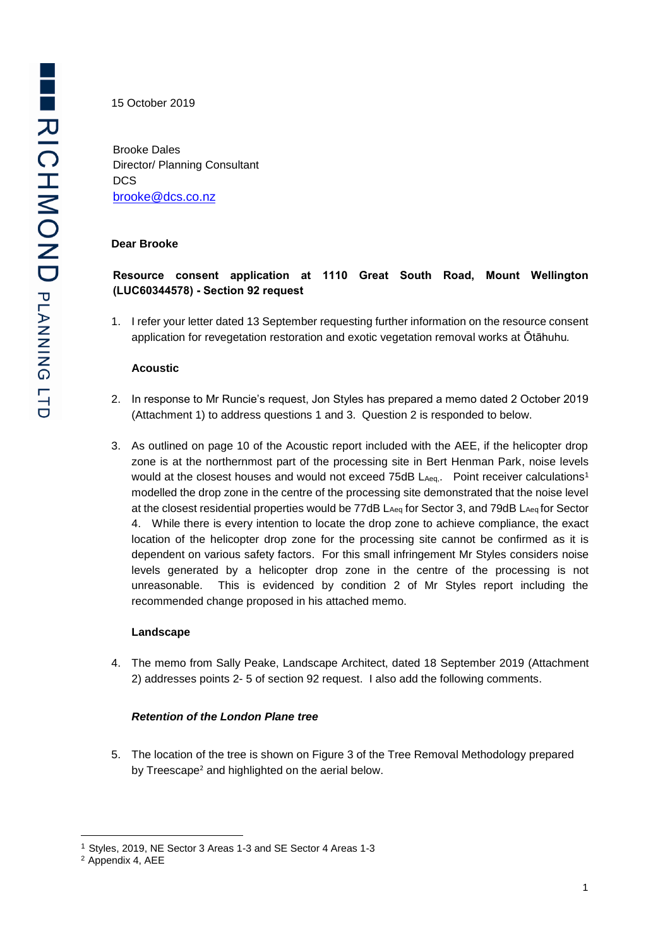15 October 2019

Brooke Dales Director/ Planning Consultant DCS [brooke@dcs.co.nz](mailto:brooke@dcs.co.nz)

#### **Dear Brooke**

# **Resource consent application at 1110 Great South Road, Mount Wellington (LUC60344578) - Section 92 request**

1. I refer your letter dated 13 September requesting further information on the resource consent application for revegetation restoration and exotic vegetation removal works at Ōtāhuhu*.*

#### **Acoustic**

- 2. In response to Mr Runcie's request, Jon Styles has prepared a memo dated 2 October 2019 (Attachment 1) to address questions 1 and 3. Question 2 is responded to below.
- 3. As outlined on page 10 of the Acoustic report included with the AEE, if the helicopter drop zone is at the northernmost part of the processing site in Bert Henman Park, noise levels would at the closest houses and would not exceed 75dB LAeq. Point receiver calculations<sup>1</sup> modelled the drop zone in the centre of the processing site demonstrated that the noise level at the closest residential properties would be 77dB L<sub>Aeq</sub> for Sector 3, and 79dB L<sub>Aeq</sub> for Sector 4. While there is every intention to locate the drop zone to achieve compliance, the exact location of the helicopter drop zone for the processing site cannot be confirmed as it is dependent on various safety factors. For this small infringement Mr Styles considers noise levels generated by a helicopter drop zone in the centre of the processing is not unreasonable. This is evidenced by condition 2 of Mr Styles report including the recommended change proposed in his attached memo.

#### **Landscape**

4. The memo from Sally Peake, Landscape Architect, dated 18 September 2019 (Attachment 2) addresses points 2- 5 of section 92 request. I also add the following comments.

#### *Retention of the London Plane tree*

5. The location of the tree is shown on Figure 3 of the Tree Removal Methodology prepared by Treescape<sup>2</sup> and highlighted on the aerial below.

-

<sup>1</sup> Styles, 2019, NE Sector 3 Areas 1-3 and SE Sector 4 Areas 1-3

<sup>2</sup> Appendix 4, AEE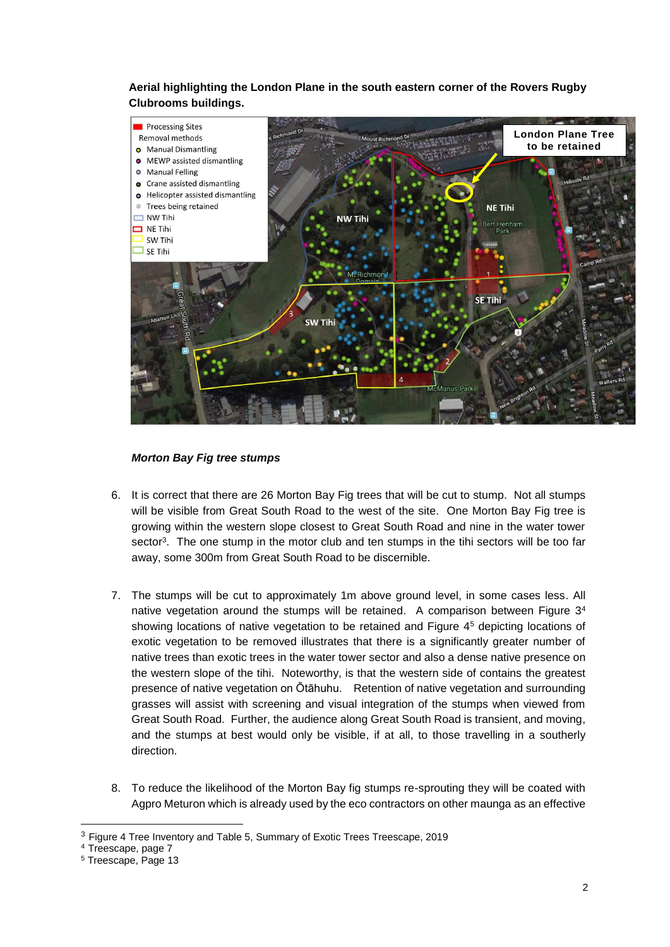**Aerial highlighting the London Plane in the south eastern corner of the Rovers Rugby Clubrooms buildings.**



## *Morton Bay Fig tree stumps*

- 6. It is correct that there are 26 Morton Bay Fig trees that will be cut to stump. Not all stumps will be visible from Great South Road to the west of the site. One Morton Bay Fig tree is growing within the western slope closest to Great South Road and nine in the water tower sector<sup>3</sup>. The one stump in the motor club and ten stumps in the tihi sectors will be too far away, some 300m from Great South Road to be discernible.
- 7. The stumps will be cut to approximately 1m above ground level, in some cases less. All native vegetation around the stumps will be retained. A comparison between Figure 3<sup>4</sup> showing locations of native vegetation to be retained and Figure 4<sup>5</sup> depicting locations of exotic vegetation to be removed illustrates that there is a significantly greater number of native trees than exotic trees in the water tower sector and also a dense native presence on the western slope of the tihi. Noteworthy, is that the western side of contains the greatest presence of native vegetation on Ōtāhuhu. Retention of native vegetation and surrounding grasses will assist with screening and visual integration of the stumps when viewed from Great South Road. Further, the audience along Great South Road is transient, and moving, and the stumps at best would only be visible, if at all, to those travelling in a southerly direction.
- 8. To reduce the likelihood of the Morton Bay fig stumps re-sprouting they will be coated with Agpro Meturon which is already used by the eco contractors on other maunga as an effective

-

<sup>3</sup> Figure 4 Tree Inventory and Table 5, Summary of Exotic Trees Treescape, 2019

<sup>4</sup> Treescape, page 7

<sup>5</sup> Treescape, Page 13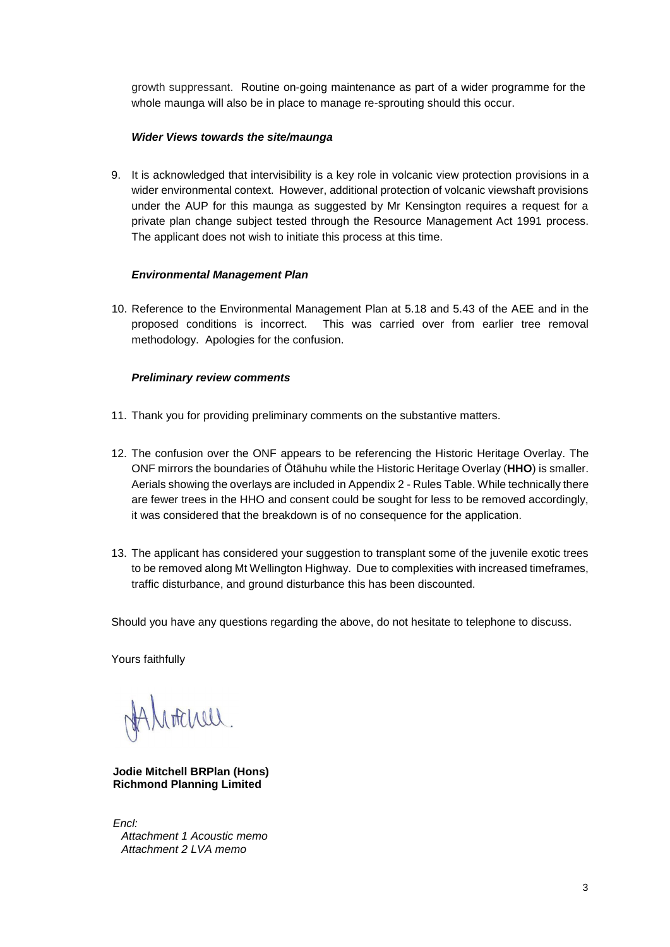growth suppressant. Routine on-going maintenance as part of a wider programme for the whole maunga will also be in place to manage re-sprouting should this occur.

### *Wider Views towards the site/maunga*

9. It is acknowledged that intervisibility is a key role in volcanic view protection provisions in a wider environmental context. However, additional protection of volcanic viewshaft provisions under the AUP for this maunga as suggested by Mr Kensington requires a request for a private plan change subject tested through the Resource Management Act 1991 process. The applicant does not wish to initiate this process at this time.

## *Environmental Management Plan*

10. Reference to the Environmental Management Plan at 5.18 and 5.43 of the AEE and in the proposed conditions is incorrect. This was carried over from earlier tree removal methodology. Apologies for the confusion.

## *Preliminary review comments*

- 11. Thank you for providing preliminary comments on the substantive matters.
- 12. The confusion over the ONF appears to be referencing the Historic Heritage Overlay. The ONF mirrors the boundaries of Ōtāhuhu while the Historic Heritage Overlay (**HHO**) is smaller. Aerials showing the overlays are included in Appendix 2 - Rules Table. While technically there are fewer trees in the HHO and consent could be sought for less to be removed accordingly, it was considered that the breakdown is of no consequence for the application.
- 13. The applicant has considered your suggestion to transplant some of the juvenile exotic trees to be removed along Mt Wellington Highway. Due to complexities with increased timeframes, traffic disturbance, and ground disturbance this has been discounted.

Should you have any questions regarding the above, do not hesitate to telephone to discuss.

Yours faithfully

HAMATCHELL.

**Jodie Mitchell BRPlan (Hons) Richmond Planning Limited** 

*Encl: Attachment 1 Acoustic memo Attachment 2 LVA memo*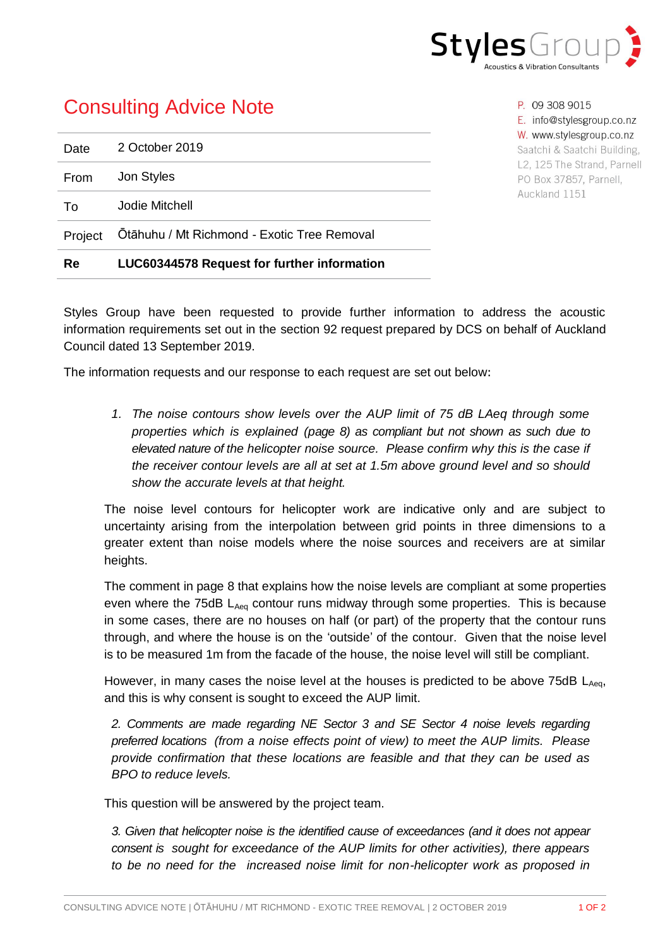

# Consulting Advice Note

| Re      | <b>LUC60344578 Request for further information</b> |
|---------|----------------------------------------------------|
| Project | Otāhuhu / Mt Richmond - Exotic Tree Removal        |
| To      | Jodie Mitchell                                     |
| From    | Jon Styles                                         |
| Date    | 2 October 2019                                     |

P. 09 308 9015 E. info@stylesgroup.co.nz W. www.stylesgroup.co.nz Saatchi & Saatchi Building, L2, 125 The Strand, Parnell PO Box 37857, Parnell, Auckland 1151

Styles Group have been requested to provide further information to address the acoustic information requirements set out in the section 92 request prepared by DCS on behalf of Auckland Council dated 13 September 2019.

The information requests and our response to each request are set out below:

*1. The noise contours show levels over the AUP limit of 75 dB LAeq through some properties which is explained (page 8) as compliant but not shown as such due to elevated nature of the helicopter noise source. Please confirm why this is the case if the receiver contour levels are all at set at 1.5m above ground level and so should show the accurate levels at that height.*

The noise level contours for helicopter work are indicative only and are subject to uncertainty arising from the interpolation between grid points in three dimensions to a greater extent than noise models where the noise sources and receivers are at similar heights.

The comment in page 8 that explains how the noise levels are compliant at some properties even where the 75dB LAeq contour runs midway through some properties. This is because in some cases, there are no houses on half (or part) of the property that the contour runs through, and where the house is on the 'outside' of the contour. Given that the noise level is to be measured 1m from the facade of the house, the noise level will still be compliant.

However, in many cases the noise level at the houses is predicted to be above  $75dB$   $L_{Aeq}$ , and this is why consent is sought to exceed the AUP limit.

*2. Comments are made regarding NE Sector 3 and SE Sector 4 noise levels regarding preferred locations (from a noise effects point of view) to meet the AUP limits. Please provide confirmation that these locations are feasible and that they can be used as BPO to reduce levels.* 

This question will be answered by the project team.

*3. Given that helicopter noise is the identified cause of exceedances (and it does not appear consent is sought for exceedance of the AUP limits for other activities), there appears to be no need for the increased noise limit for non-helicopter work as proposed in*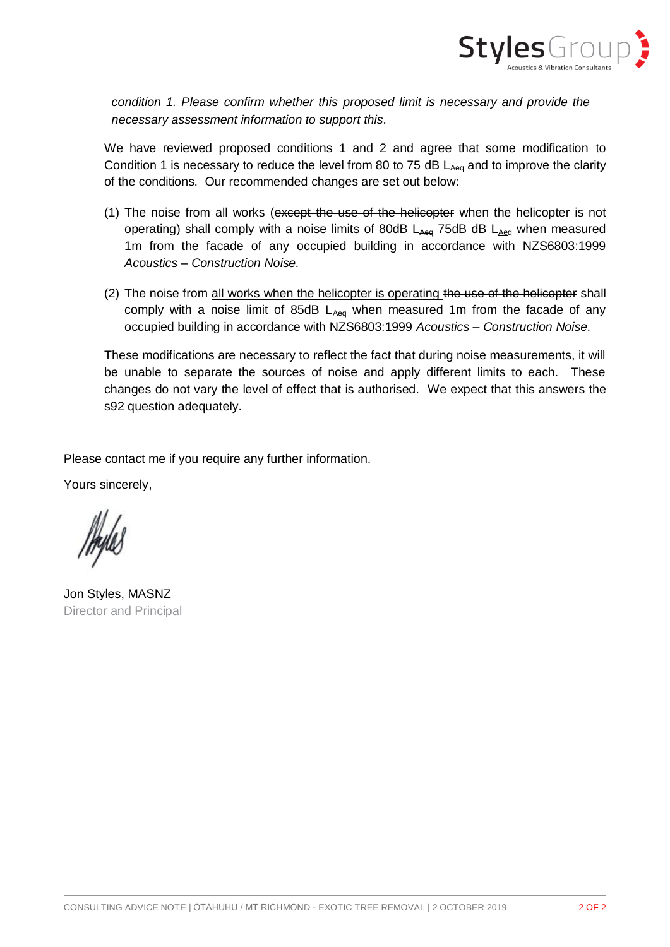

*condition 1. Please confirm whether this proposed limit is necessary and provide the necessary assessment information to support this.*

We have reviewed proposed conditions 1 and 2 and agree that some modification to Condition 1 is necessary to reduce the level from 80 to 75 dB LAeq and to improve the clarity of the conditions. Our recommended changes are set out below:

- (1) The noise from all works (except the use of the helicopter when the helicopter is not operating) shall comply with a noise limits of  $80\text{dB}$  L<sub>Aeq</sub> 75dB dB L<sub>Aeq</sub> when measured 1m from the facade of any occupied building in accordance with NZS6803:1999 *Acoustics – Construction Noise.*
- (2) The noise from all works when the helicopter is operating the use of the helicopter shall comply with a noise limit of 85dB  $L_{Aeq}$  when measured 1m from the facade of any occupied building in accordance with NZS6803:1999 *Acoustics – Construction Noise.*

These modifications are necessary to reflect the fact that during noise measurements, it will be unable to separate the sources of noise and apply different limits to each. These changes do not vary the level of effect that is authorised. We expect that this answers the s92 question adequately.

Please contact me if you require any further information.

Yours sincerely,

Jon Styles, MASNZ Director and Principal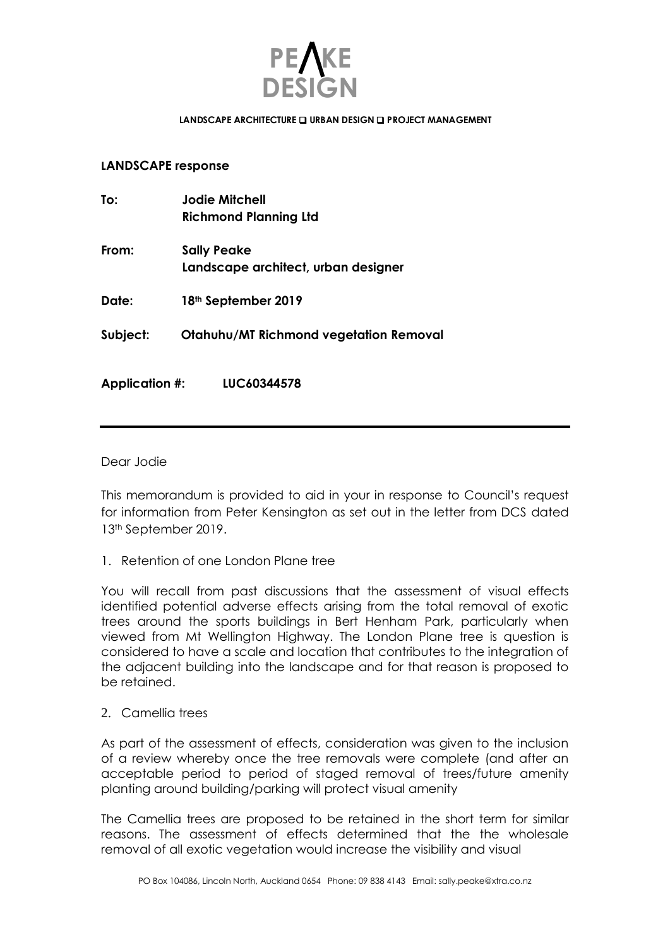

#### LANDSCAPE ARCHITECTURE **Q URBAN DESIGN Q PROJECT MANAGEMENT**

## **LANDSCAPE response**

| To:                   | Jodie Mitchell<br><b>Richmond Planning Ltd</b>            |
|-----------------------|-----------------------------------------------------------|
| From:                 | <b>Sally Peake</b><br>Landscape architect, urban designer |
| Date:                 | 18 <sup>th</sup> September 2019                           |
| Subject:              | Otahuhu/MT Richmond vegetation Removal                    |
| <b>Application #:</b> | LUC60344578                                               |

Dear Jodie

This memorandum is provided to aid in your in response to Council's request for information from Peter Kensington as set out in the letter from DCS dated 13th September 2019.

1. Retention of one London Plane tree

You will recall from past discussions that the assessment of visual effects identified potential adverse effects arising from the total removal of exotic trees around the sports buildings in Bert Henham Park, particularly when viewed from Mt Wellington Highway. The London Plane tree is question is considered to have a scale and location that contributes to the integration of the adjacent building into the landscape and for that reason is proposed to be retained.

2. Camellia trees

As part of the assessment of effects, consideration was given to the inclusion of a review whereby once the tree removals were complete (and after an acceptable period to period of staged removal of trees/future amenity planting around building/parking will protect visual amenity

The Camellia trees are proposed to be retained in the short term for similar reasons. The assessment of effects determined that the the wholesale removal of all exotic vegetation would increase the visibility and visual